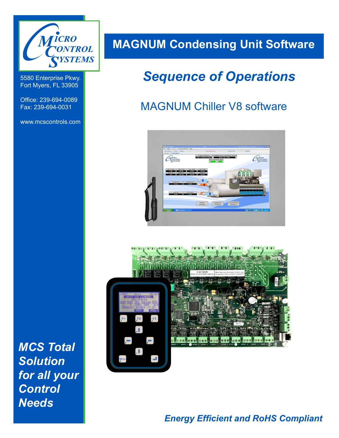

5580 Enterprise Pkwy. Fort Myers, FL 33905

Office: 239-694-0089 Fax: 239-694-0031

www.mcscontrols.com

**MAGNUM Condensing Unit Software**

# *Sequence of Operations*

# MAGNUM Chiller V8 software





*MCS Total Solution for all your Control Needs*

# *Energy Efficient and RoHS Compliant*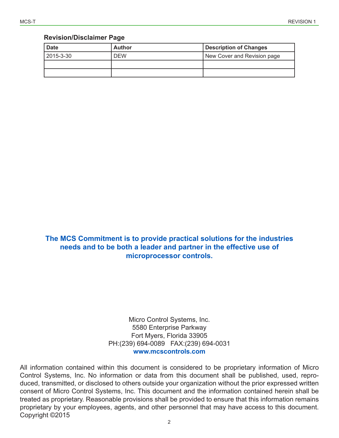#### **Revision/Disclaimer Page**

| <b>Date</b> | <b>Author</b> | <b>Description of Changes</b> |
|-------------|---------------|-------------------------------|
| 2015-3-30   | <b>DEW</b>    | New Cover and Revision page   |
|             |               |                               |
|             |               |                               |

**The MCS Commitment is to provide practical solutions for the industries needs and to be both a leader and partner in the effective use of microprocessor controls.**

> Micro Control Systems, Inc. 5580 Enterprise Parkway Fort Myers, Florida 33905 PH:(239) 694-0089 FAX:(239) 694-0031 **www.mcscontrols.com**

All information contained within this document is considered to be proprietary information of Micro Control Systems, Inc. No information or data from this document shall be published, used, reproduced, transmitted, or disclosed to others outside your organization without the prior expressed written consent of Micro Control Systems, Inc. This document and the information contained herein shall be treated as proprietary. Reasonable provisions shall be provided to ensure that this information remains proprietary by your employees, agents, and other personnel that may have access to this document. Copyright ©2015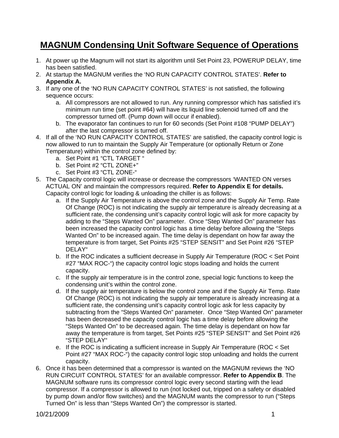# **MAGNUM Condensing Unit Software Sequence of Operations**

- 1. At power up the Magnum will not start its algorithm until Set Point 23, POWERUP DELAY, time has been satisfied.
- 2. At startup the MAGNUM verifies the 'NO RUN CAPACITY CONTROL STATES'. **Refer to Appendix A.**
- 3. If any one of the 'NO RUN CAPACITY CONTROL STATES' is not satisfied, the following sequence occurs:
	- a. All compressors are not allowed to run. Any running compressor which has satisfied it's minimum run time (set point #64) will have its liquid line solenoid turned off and the compressor turned off. (Pump down will occur if enabled).
	- b. The evaporator fan continues to run for 60 seconds (Set Point #108 "PUMP DELAY") after the last compressor is turned off.
- 4. If all of the 'NO RUN CAPACITY CONTROL STATES' are satisfied, the capacity control logic is now allowed to run to maintain the Supply Air Temperature (or optionally Return or Zone Temperature) within the control zone defined by:
	- a. Set Point #1 "CTL TARGET "
	- b. Set Point #2 "CTL ZONE+"
	- c. Set Point #3 "CTL ZONE-"
- 5. The Capacity control logic will increase or decrease the compressors 'WANTED ON verses ACTUAL ON' and maintain the compressors required. **Refer to Appendix E for details.**  Capacity control logic for loading & unloading the chiller is as follows:
	- a. If the Supply Air Temperature is above the control zone and the Supply Air Temp. Rate Of Change (ROC) is not indicating the supply air temperature is already decreasing at a sufficient rate, the condensing unit's capacity control logic will ask for more capacity by adding to the "Steps Wanted On" parameter. Once "Step Wanted On" parameter has been increased the capacity control logic has a time delay before allowing the "Steps Wanted On" to be increased again. The time delay is dependant on how far away the temperature is from target, Set Points #25 "STEP SENSIT" and Set Point #26 "STEP DELAY"
	- b. If the ROC indicates a sufficient decrease in Supply Air Temperature (ROC < Set Point #27 "MAX ROC-") the capacity control logic stops loading and holds the current capacity.
	- c. If the supply air temperature is in the control zone, special logic functions to keep the condensing unit's within the control zone.
	- d. If the supply air temperature is below the control zone and if the Supply Air Temp. Rate Of Change (ROC) is not indicating the supply air temperature is already increasing at a sufficient rate, the condensing unit's capacity control logic ask for less capacity by subtracting from the "Steps Wanted On" parameter. Once "Step Wanted On" parameter has been decreased the capacity control logic has a time delay before allowing the "Steps Wanted On" to be decreased again. The time delay is dependant on how far away the temperature is from target, Set Points #25 "STEP SENSIT" and Set Point #26 "STEP DELAY"
	- e. If the ROC is indicating a sufficient increase in Supply Air Temperature (ROC < Set Point #27 "MAX ROC-") the capacity control logic stop unloading and holds the current capacity.
- 6. Once it has been determined that a compressor is wanted on the MAGNUM reviews the 'NO RUN CIRCUIT CONTROL STATES' for an available compressor. **Refer to Appendix B**. The MAGNUM software runs its compressor control logic every second starting with the lead compressor. If a compressor is allowed to run (not locked out, tripped on a safety or disabled by pump down and/or flow switches) and the MAGNUM wants the compressor to run ("Steps Turned On" is less than "Steps Wanted On") the compressor is started.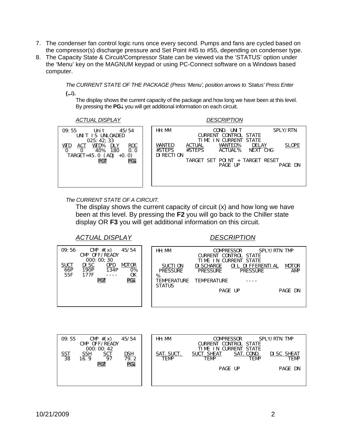- 7. The condenser fan control logic runs once every second. Pumps and fans are cycled based on the compressor(s) discharge pressure and Set Point #45 to #55, depending on condenser type.
- 8. The Capacity State & Circuit/Compressor State can be viewed via the 'STATUS' option under the 'Menu' key on the MAGNUM keypad or using PC-Connect software on a Windows based computer.

*The CURRENT STATE OF THE PACKAGE (Press 'Menu', position arrows to 'Status' Press Enter*  **(**↵)**.**

The display shows the current capacity of the package and how long we have been at this level. By pressing the **PG**↓ you will get additional information on each circuit.

*ACTUAL DISPLAY DESCRIPTION*

| 45/54<br>09:55<br>Uni t<br>UNIT IS UNLOADED<br>025:42:33                                               | HH: MM<br>COND.<br>UNI T<br>CURRENT CONTROL STATE<br>IN CURRENT STATE<br>TIMF                                | SPLY/RTN     |
|--------------------------------------------------------------------------------------------------------|--------------------------------------------------------------------------------------------------------------|--------------|
| WTD%<br><b>ROC</b><br><u>DLY</u><br><b>WTD</b><br>ACT<br>40%<br>180<br>0.0<br>TARGET=45.0 $(ADJ +0.0)$ | WANTED%<br>WANTED<br><b>DELAY</b><br><b>ACTUAL</b><br>#STEPS<br>#STEPS<br>ACTUAL%<br>NEXT CHG<br>DI RECTI ON | <b>SLOPE</b> |
| PG1<br>PG↓                                                                                             | TARGET SET POINT + TARGET RESET<br>PAGE UP                                                                   | PAGE DN      |

#### *The CURRENT STATE OF A CIRCUIT.*

The display shows the current capacity of circuit (x) and how long we have been at this level. By pressing the **F2** you will go back to the Chiller state display OR **F3** you will get additional information on this circuit.

### *ACTUAL DISPLAY DESCRIPTION*

| 09:56                                              | CMP $#(x)$<br>CMP OFF/READY<br>000:00:30 | 45/54                           | HH: MM                           | TIMF                          | <b>COMPRESSOR</b><br>CURRENT CONTROL STATE<br>IN CURRENT STATE | SPLY/RTN TMP |                            |
|----------------------------------------------------|------------------------------------------|---------------------------------|----------------------------------|-------------------------------|----------------------------------------------------------------|--------------|----------------------------|
| SUCT<br>66P<br><b>DI SC</b><br>190P<br>55F<br>177F | <u>OPD</u><br>134P                       | <b>MOTOR</b><br><b>O%</b><br>0K | SUCTI ON<br><b>PRESSURE</b><br>% | DI SCHARGE<br><b>PRESSURE</b> | OLL DIFFERENTIAL<br><b>PRESSURE</b>                            |              | <b>MOTOR</b><br><b>AMP</b> |
|                                                    | PG1                                      | <b>PG</b>                       | TFMPFRATURF<br><b>STATUS</b>     | <b>TFMPFRATURF</b>            |                                                                |              |                            |
|                                                    |                                          |                                 |                                  |                               | PAGE UP                                                        |              | PAGE DN                    |
|                                                    |                                          |                                 |                                  |                               |                                                                |              |                            |

| CMP $#(x)$<br>09:55<br>45/54<br>CMP OFF/READY<br>000:00:42                                                                        | HH: MM             | <b>COMPRESSOR</b><br><b>CURRENT CONTROL STATE</b><br>TIME IN CURRENT STATE | SPLY/RTN TMP               |
|-----------------------------------------------------------------------------------------------------------------------------------|--------------------|----------------------------------------------------------------------------|----------------------------|
| $\frac{\text{SSI}}{38}$<br>$rac{\mathsf{SCT}}{97}$<br><u>SSH</u><br>$\frac{\text{DSH}}{\text{79.2}}$<br>16.9<br><b>PG↓</b><br>PG1 | SAT. SUCT.<br>TEMP | <b>SUCT SHEAT</b><br>SAT. COND.<br><b>TEMP</b><br>TEMP                     | DI SC SHEAT<br><b>TEMP</b> |
|                                                                                                                                   |                    | PAGE UP                                                                    | PAGE DN                    |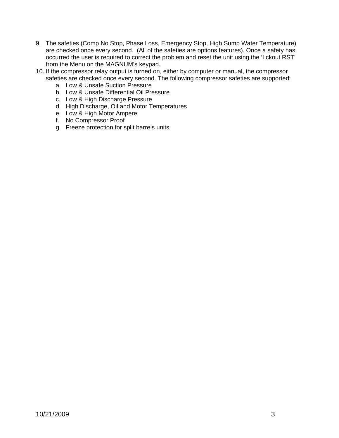- 9. The safeties (Comp No Stop, Phase Loss, Emergency Stop, High Sump Water Temperature) are checked once every second. (All of the safeties are options features). Once a safety has occurred the user is required to correct the problem and reset the unit using the 'Lckout RST' from the Menu on the MAGNUM's keypad.
- 10. If the compressor relay output is turned on, either by computer or manual, the compressor safeties are checked once every second. The following compressor safeties are supported:
	- a. Low & Unsafe Suction Pressure
	- b. Low & Unsafe Differential Oil Pressure
	- c. Low & High Discharge Pressure
	- d. High Discharge, Oil and Motor Temperatures
	- e. Low & High Motor Ampere
	- f. No Compressor Proof
	- g. Freeze protection for split barrels units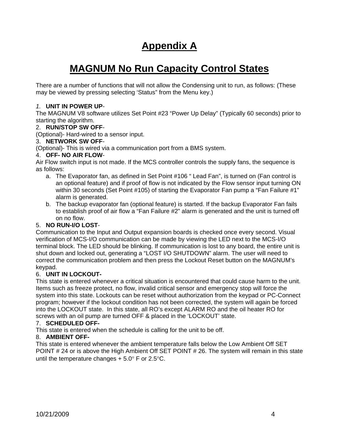# **Appendix A**

# **MAGNUM No Run Capacity Control States**

There are a number of functions that will not allow the Condensing unit to run, as follows: (These may be viewed by pressing selecting 'Status" from the Menu key.)

#### *1.* **UNIT IN POWER UP***-*

The MAGNUM V8 software utilizes Set Point #23 "Power Up Delay" (Typically 60 seconds) prior to starting the algorithm.

#### 2. **RUN/STOP SW OFF**-

(Optional)- Hard-wired to a sensor input.

#### 3. **NETWORK SW OFF**-

(Optional)- This is wired via a communication port from a BMS system.

#### 4. **OFF- NO AIR FLOW**-

Air Flow switch input is not made. If the MCS controller controls the supply fans, the sequence is as follows:

- a. The Evaporator fan, as defined in Set Point #106 " Lead Fan", is turned on (Fan control is an optional feature) and if proof of flow is not indicated by the Flow sensor input turning ON within 30 seconds (Set Point #105) of starting the Evaporator Fan pump a "Fan Failure #1" alarm is generated.
- b. The backup evaporator fan (optional feature) is started. If the backup Evaporator Fan fails to establish proof of air flow a "Fan Failure #2" alarm is generated and the unit is turned off on no flow.

#### 5. **NO RUN-I/O LOST**-

Communication to the Input and Output expansion boards is checked once every second. Visual verification of MCS-I/O communication can be made by viewing the LED next to the MCS-I/O terminal block. The LED should be blinking. If communication is lost to any board, the entire unit is shut down and locked out, generating a "LOST I/O SHUTDOWN" alarm. The user will need to correct the communication problem and then press the Lockout Reset button on the MAGNUM's keypad.

#### 6. **UNIT IN LOCKOUT-**

This state is entered whenever a critical situation is encountered that could cause harm to the unit. Items such as freeze protect, no flow, invalid critical sensor and emergency stop will force the system into this state. Lockouts can be reset without authorization from the keypad or PC-Connect program; however if the lockout condition has not been corrected, the system will again be forced into the LOCKOUT state. In this state, all RO's except ALARM RO and the oil heater RO for screws with an oil pump are turned OFF & placed in the 'LOCKOUT' state.

#### 7. **SCHEDULED OFF-**

This state is entered when the schedule is calling for the unit to be off.

#### 8. **AMBIENT OFF-**

This state is entered whenever the ambient temperature falls below the Low Ambient Off SET POINT  $# 24$  or is above the High Ambient Off SET POINT  $# 26$ . The system will remain in this state until the temperature changes  $+ 5.0^\circ$  F or 2.5 $\circ$ C.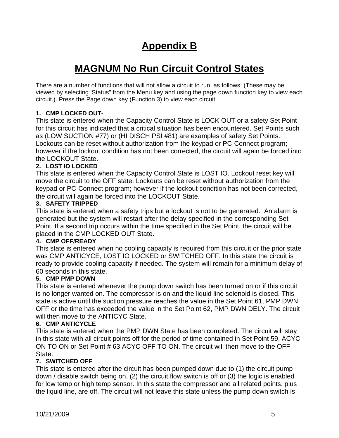# **Appendix B**

# **MAGNUM No Run Circuit Control States**

There are a number of functions that will not allow a circuit to run, as follows: (These may be viewed by selecting 'Status" from the Menu key and using the page down function key to view each circuit.). Press the Page down key (Function 3) to view each circuit.

# **1. CMP LOCKED OUT-**

This state is entered when the Capacity Control State is LOCK OUT or a safety Set Point for this circuit has indicated that a critical situation has been encountered. Set Points such as (LOW SUCTION #77) or (HI DISCH PSI #81) are examples of safety Set Points. Lockouts can be reset without authorization from the keypad or PC-Connect program; however if the lockout condition has not been corrected, the circuit will again be forced into the LOCKOUT State.

### **2. LOST IO LOCKED**

This state is entered when the Capacity Control State is LOST IO. Lockout reset key will move the circuit to the OFF state. Lockouts can be reset without authorization from the keypad or PC-Connect program; however if the lockout condition has not been corrected, the circuit will again be forced into the LOCKOUT State.

### **3. SAFETY TRIPPED**

This state is entered when a safety trips but a lockout is not to be generated. An alarm is generated but the system will restart after the delay specified in the corresponding Set Point. If a second trip occurs within the time specified in the Set Point, the circuit will be placed in the CMP LOCKED OUT State.

### **4. CMP OFF/READY**

This state is entered when no cooling capacity is required from this circuit or the prior state was CMP ANTICYCE, LOST IO LOCKED or SWITCHED OFF. In this state the circuit is ready to provide cooling capacity if needed. The system will remain for a minimum delay of 60 seconds in this state.

### **5. CMP PMP DOWN**

This state is entered whenever the pump down switch has been turned on or if this circuit is no longer wanted on. The compressor is on and the liquid line solenoid is closed. This state is active until the suction pressure reaches the value in the Set Point 61, PMP DWN OFF or the time has exceeded the value in the Set Point 62, PMP DWN DELY. The circuit will then move to the ANTICYC State.

### **6. CMP ANTICYCLE**

This state is entered when the PMP DWN State has been completed. The circuit will stay in this state with all circuit points off for the period of time contained in Set Point 59, ACYC ON TO ON or Set Point # 63 ACYC OFF TO ON. The circuit will then move to the OFF State.

### **7. SWITCHED OFF**

This state is entered after the circuit has been pumped down due to (1) the circuit pump down / disable switch being on, (2) the circuit flow switch is off or (3) the logic is enabled for low temp or high temp sensor. In this state the compressor and all related points, plus the liquid line, are off. The circuit will not leave this state unless the pump down switch is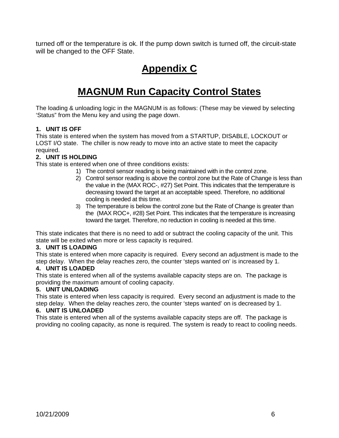turned off or the temperature is ok. If the pump down switch is turned off, the circuit-state will be changed to the OFF State.

# **Appendix C**

# **MAGNUM Run Capacity Control States**

The loading & unloading logic in the MAGNUM is as follows: (These may be viewed by selecting 'Status" from the Menu key and using the page down.

### **1. UNIT IS OFF**

This state is entered when the system has moved from a STARTUP, DISABLE, LOCKOUT or LOST I/O state. The chiller is now ready to move into an active state to meet the capacity required.

### **2. UNIT IS HOLDING**

This state is entered when one of three conditions exists:

- 1) The control sensor reading is being maintained with in the control zone.
- 2) Control sensor reading is above the control zone but the Rate of Change is less than the value in the (MAX ROC-, #27) Set Point. This indicates that the temperature is decreasing toward the target at an acceptable speed. Therefore, no additional cooling is needed at this time.
- 3) The temperature is below the control zone but the Rate of Change is greater than the (MAX ROC+, #28) Set Point. This indicates that the temperature is increasing toward the target. Therefore, no reduction in cooling is needed at this time.

This state indicates that there is no need to add or subtract the cooling capacity of the unit. This state will be exited when more or less capacity is required.

#### **3. UNIT IS LOADING**

This state is entered when more capacity is required. Every second an adjustment is made to the step delay. When the delay reaches zero, the counter 'steps wanted on' is increased by 1.

#### **4. UNIT IS LOADED**

This state is entered when all of the systems available capacity steps are on. The package is providing the maximum amount of cooling capacity.

#### **5. UNIT UNLOADING**

This state is entered when less capacity is required. Every second an adjustment is made to the step delay. When the delay reaches zero, the counter 'steps wanted' on is decreased by 1.

#### **6. UNIT IS UNLOADED**

This state is entered when all of the systems available capacity steps are off. The package is providing no cooling capacity, as none is required. The system is ready to react to cooling needs.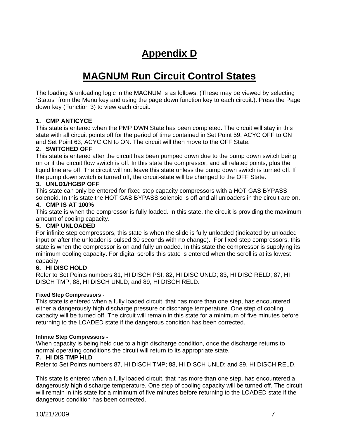# **Appendix D**

# **MAGNUM Run Circuit Control States**

The loading & unloading logic in the MAGNUM is as follows: (These may be viewed by selecting 'Status" from the Menu key and using the page down function key to each circuit.). Press the Page down key (Function 3) to view each circuit.

#### **1. CMP ANTICYCE**

This state is entered when the PMP DWN State has been completed. The circuit will stay in this state with all circuit points off for the period of time contained in Set Point 59, ACYC OFF to ON and Set Point 63, ACYC ON to ON. The circuit will then move to the OFF State.

### **2. SWITCHED OFF**

This state is entered after the circuit has been pumped down due to the pump down switch being on or if the circuit flow switch is off. In this state the compressor, and all related points, plus the liquid line are off. The circuit will not leave this state unless the pump down switch is turned off. If the pump down switch is turned off, the circuit-state will be changed to the OFF State.

### **3. UNLD1/HGBP OFF**

This state can only be entered for fixed step capacity compressors with a HOT GAS BYPASS solenoid. In this state the HOT GAS BYPASS solenoid is off and all unloaders in the circuit are on.

#### **4. CMP IS AT 100%**

This state is when the compressor is fully loaded. In this state, the circuit is providing the maximum amount of cooling capacity.

#### **5. CMP UNLOADED**

For infinite step compressors, this state is when the slide is fully unloaded (indicated by unloaded input or after the unloader is pulsed 30 seconds with no change). For fixed step compressors, this state is when the compressor is on and fully unloaded. In this state the compressor is supplying its minimum cooling capacity. For digital scrolls this state is entered when the scroll is at its lowest capacity.

### **6. HI DISC HOLD**

Refer to Set Points numbers 81, HI DISCH PSI; 82, HI DISC UNLD; 83, HI DISC RELD; 87, HI DISCH TMP; 88, HI DISCH UNLD; and 89, HI DISCH RELD.

#### **Fixed Step Compressors -**

This state is entered when a fully loaded circuit, that has more than one step, has encountered either a dangerously high discharge pressure or discharge temperature. One step of cooling capacity will be turned off. The circuit will remain in this state for a minimum of five minutes before returning to the LOADED state if the dangerous condition has been corrected.

#### **Infinite Step Compressors -**

When capacity is being held due to a high discharge condition, once the discharge returns to normal operating conditions the circuit will return to its appropriate state.

#### **7. HI DIS TMP HLD**

Refer to Set Points numbers 87, HI DISCH TMP; 88, HI DISCH UNLD; and 89, HI DISCH RELD.

This state is entered when a fully loaded circuit, that has more than one step, has encountered a dangerously high discharge temperature. One step of cooling capacity will be turned off. The circuit will remain in this state for a minimum of five minutes before returning to the LOADED state if the dangerous condition has been corrected.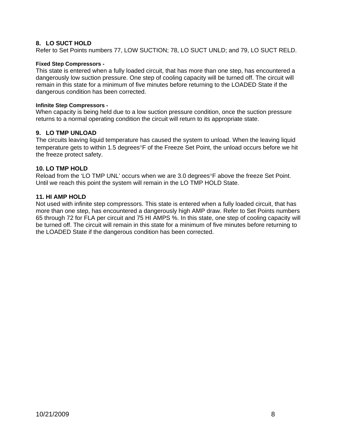#### **8. LO SUCT HOLD**

Refer to Set Points numbers 77, LOW SUCTION; 78, LO SUCT UNLD; and 79, LO SUCT RELD.

#### **Fixed Step Compressors -**

This state is entered when a fully loaded circuit, that has more than one step, has encountered a dangerously low suction pressure. One step of cooling capacity will be turned off. The circuit will remain in this state for a minimum of five minutes before returning to the LOADED State if the dangerous condition has been corrected.

#### **Infinite Step Compressors -**

When capacity is being held due to a low suction pressure condition, once the suction pressure returns to a normal operating condition the circuit will return to its appropriate state.

#### **9. LO TMP UNLOAD**

The circuits leaving liquid temperature has caused the system to unload. When the leaving liquid temperature gets to within 1.5 degrees°F of the Freeze Set Point, the unload occurs before we hit the freeze protect safety.

#### **10. LO TMP HOLD**

Reload from the 'LO TMP UNL' occurs when we are 3.0 degrees°F above the freeze Set Point. Until we reach this point the system will remain in the LO TMP HOLD State.

#### **11. HI AMP HOLD**

Not used with infinite step compressors. This state is entered when a fully loaded circuit, that has more than one step, has encountered a dangerously high AMP draw. Refer to Set Points numbers 65 through 72 for FLA per circuit and 75 HI AMPS %. In this state, one step of cooling capacity will be turned off. The circuit will remain in this state for a minimum of five minutes before returning to the LOADED State if the dangerous condition has been corrected.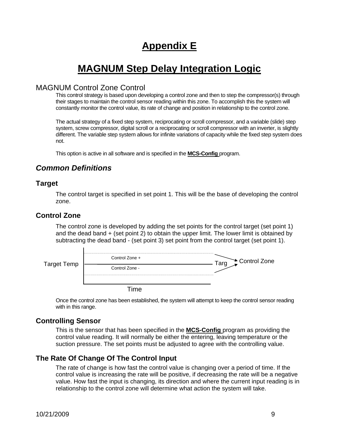# **Appendix E**

# **MAGNUM Step Delay Integration Logic**

# MAGNUM Control Zone Control

This control strategy is based upon developing a control zone and then to step the compressor(s) through their stages to maintain the control sensor reading within this zone. To accomplish this the system will constantly monitor the control value, its rate of change and position in relationship to the control zone.

The actual strategy of a fixed step system, reciprocating or scroll compressor, and a variable (slide) step system, screw compressor, digital scroll or a reciprocating or scroll compressor with an inverter, is slightly different. The variable step system allows for infinite variations of capacity while the fixed step system does not.

This option is active in all software and is specified in the **MCS-Config** program.

# *Common Definitions*

### **Target**

The control target is specified in set point 1. This will be the base of developing the control zone.

### **Control Zone**

The control zone is developed by adding the set points for the control target (set point 1) and the dead band + (set point 2) to obtain the upper limit. The lower limit is obtained by subtracting the dead band - (set point 3) set point from the control target (set point 1).

| Target Temp | <br>Control Zone + | Control Zone<br>$\Omega$ |
|-------------|--------------------|--------------------------|
|             | Control Zone -     |                          |
|             |                    |                          |
|             |                    |                          |

Once the control zone has been established, the system will attempt to keep the control sensor reading with in this range.

### **Controlling Sensor**

This is the sensor that has been specified in the **MCS-Config** program as providing the control value reading. It will normally be either the entering, leaving temperature or the suction pressure. The set points must be adjusted to agree with the controlling value.

# **The Rate Of Change Of The Control Input**

The rate of change is how fast the control value is changing over a period of time. If the control value is increasing the rate will be positive, if decreasing the rate will be a negative value. How fast the input is changing, its direction and where the current input reading is in relationship to the control zone will determine what action the system will take.